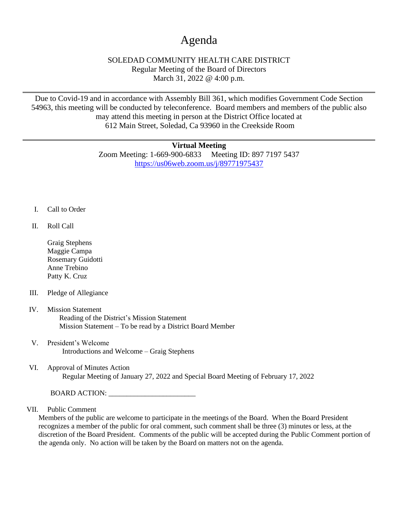## Agenda

## SOLEDAD COMMUNITY HEALTH CARE DISTRICT Regular Meeting of the Board of Directors March 31, 2022 @ 4:00 p.m.

Due to Covid-19 and in accordance with Assembly Bill 361, which modifies Government Code Section 54963, this meeting will be conducted by teleconference. Board members and members of the public also may attend this meeting in person at the District Office located at 612 Main Street, Soledad, Ca 93960 in the Creekside Room

## **Virtual Meeting**

Zoom Meeting: 1-669-900-6833 Meeting ID: 897 7197 5437 <https://us06web.zoom.us/j/89771975437>

- I. Call to Order
- II. Roll Call
	- Graig Stephens Maggie Campa Rosemary Guidotti Anne Trebino Patty K. Cruz
- III. Pledge of Allegiance
- IV. Mission Statement Reading of the District's Mission Statement Mission Statement – To be read by a District Board Member
- V. President's Welcome Introductions and Welcome – Graig Stephens
- VI. Approval of Minutes Action Regular Meeting of January 27, 2022 and Special Board Meeting of February 17, 2022

BOARD ACTION:

VII. Public Comment

Members of the public are welcome to participate in the meetings of the Board. When the Board President recognizes a member of the public for oral comment, such comment shall be three (3) minutes or less, at the discretion of the Board President. Comments of the public will be accepted during the Public Comment portion of the agenda only. No action will be taken by the Board on matters not on the agenda.